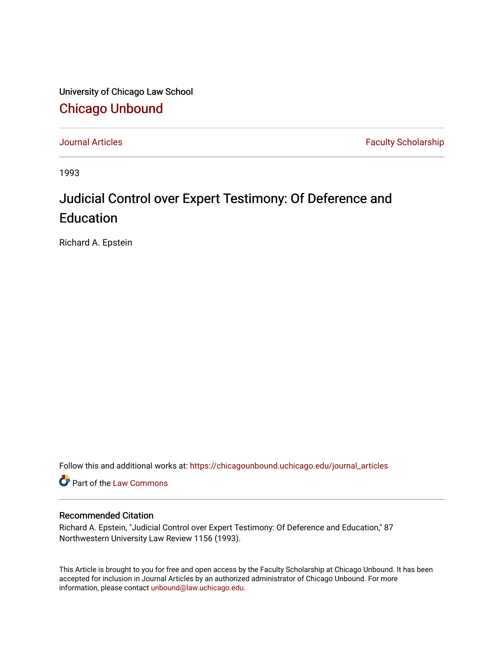University of Chicago Law School [Chicago Unbound](https://chicagounbound.uchicago.edu/)

[Journal Articles](https://chicagounbound.uchicago.edu/journal_articles) **Faculty Scholarship Faculty Scholarship** 

1993

# Judicial Control over Expert Testimony: Of Deference and Education

Richard A. Epstein

Follow this and additional works at: [https://chicagounbound.uchicago.edu/journal\\_articles](https://chicagounbound.uchicago.edu/journal_articles?utm_source=chicagounbound.uchicago.edu%2Fjournal_articles%2F1266&utm_medium=PDF&utm_campaign=PDFCoverPages) 

Part of the [Law Commons](http://network.bepress.com/hgg/discipline/578?utm_source=chicagounbound.uchicago.edu%2Fjournal_articles%2F1266&utm_medium=PDF&utm_campaign=PDFCoverPages)

# Recommended Citation

Richard A. Epstein, "Judicial Control over Expert Testimony: Of Deference and Education," 87 Northwestern University Law Review 1156 (1993).

This Article is brought to you for free and open access by the Faculty Scholarship at Chicago Unbound. It has been accepted for inclusion in Journal Articles by an authorized administrator of Chicago Unbound. For more information, please contact [unbound@law.uchicago.edu](mailto:unbound@law.uchicago.edu).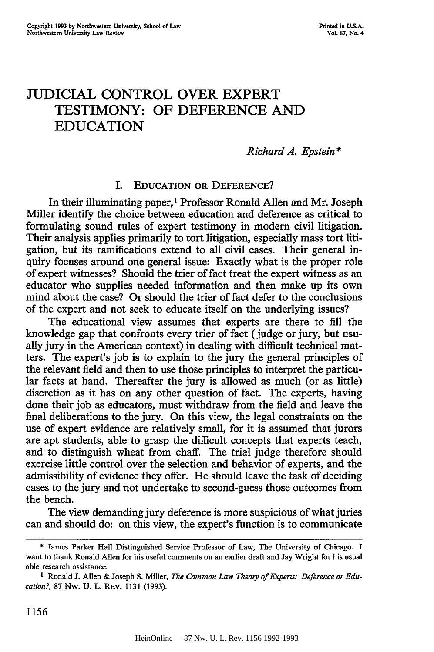# JUDICIAL CONTROL OVER EXPERT TESTIMONY: OF **DEFERENCE AND EDUCATION**

### *Richard A. Epstein \**

#### I. **EDUCATION OR DEFERENCE?**

In their illuminating paper,<sup>1</sup> Professor Ronald Allen and Mr. Joseph Miller identify the choice between education and deference as critical to formulating sound rules of expert testimony in modem civil litigation. Their analysis applies primarily to tort litigation, especially mass tort litigation, but its ramifications extend to all civil cases. Their general inquiry focuses around one general issue: Exactly what is the proper role of expert witnesses? Should the trier of fact treat the expert witness as an educator who supplies needed information and then make up its own mind about the case? Or should the trier of fact defer to the conclusions of the expert and not seek to educate itself on the underlying issues?

The educational view assumes that experts are there to fill the knowledge gap that confronts every trier of fact (judge or jury, but usually jury in the American context) in dealing with difficult technical matters. The expert's job is to explain to the jury the general principles of the relevant field and then to use those principles to interpret the particular facts at hand. Thereafter the jury is allowed as much (or as little) discretion as it has on any other question of fact. The experts, having done their job as educators, must withdraw from the field and leave the final deliberations to the jury. On this view, the legal constraints on the use of expert evidence are relatively small, for it is assumed that jurors are apt students, able to grasp the difficult concepts that experts teach, and to distinguish wheat from chaff. The trial judge therefore should exercise little control over the selection and behavior of experts, and the admissibility of evidence they offer. He should leave the task of deciding cases to the jury and not undertake to second-guess those outcomes from the bench.

The view demanding jury deference is more suspicious of what juries can and should do: on this view, the expert's function is to communicate

**<sup>\*</sup>** James Parker Hall Distinguished Service Professor of Law, The University of Chicago. I want to thank Ronald Allen for his useful comments on an earlier draft and Jay Wright for his usual able research assistance.

**<sup>1</sup>** Ronald J. Allen & Joseph **S.** Miller, *The Common Law Theory of Experts: Deference or Education?,* 87 Nw. U. L. REV. 1131 (1993).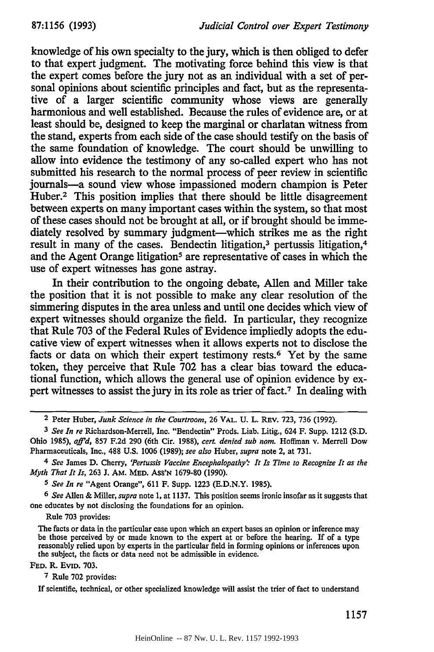knowledge of his own specialty to the jury, which is then obliged to defer to that expert judgment. The motivating force behind this view is that the expert comes before the jury not as an individual with a set of personal opinions about scientific principles and fact, but as the representative of a larger scientific community whose views are generally harmonious and well established. Because the rules of evidence are, or at least should be, designed to keep the marginal or charlatan witness from the stand, experts from each side of the case should testify on the basis of the same foundation of knowledge. The court should be unwilling to allow into evidence the testimony of any so-called expert who has not submitted his research to the normal process of peer review in scientific journals-a sound view whose impassioned modern champion is Peter Huber.<sup>2</sup> This position implies that there should be little disagreement between experts on many important cases within the system, so that most of these cases should not be brought at all, or if brought should be immediately resolved by summary judgment-which strikes me as the right result in many of the cases. Bendectin litigation,<sup>3</sup> pertussis litigation,<sup>4</sup> and the Agent Orange litigation<sup>5</sup> are representative of cases in which the use of expert witnesses has gone astray.

In their contribution to the ongoing debate, Allen and Miller take the position that it is not possible to make any clear resolution of the simmering disputes in the area unless and until one decides which view of expert witnesses should organize the field. In particular, they recognize that Rule 703 of the Federal Rules of Evidence impliedly adopts the educative view of expert witnesses when it allows experts not to disclose the facts or data on which their expert testimony rests.<sup>6</sup> Yet by the same token, they perceive that Rule 702 has a clear bias toward the educational function, which allows the general use of opinion evidence by expert witnesses to assist the jury in its role as trier of fact.7 In dealing with

*<sup>5</sup>See In re* "Agent Orange", 611 F. Supp. 1223 (E.D.N.Y. 1985).

*6 See* Allen & Miller, *supra* note 1, at 1137. This position seems ironic insofar as it suggests that one educates by not disclosing the foundations for an opinion.

Rule **703** provides:

The facts or data in the particular case upon which an expert bases an opinion or inference may be those perceived **by** or made known to the expert at or before the hearing. If of a type reasonably relied upon **by** experts in the particular field in forming opinions or inferences upon the subject, the facts or data need not be admissible in evidence.

**FED.** R. **EvID. 703.**

**7 Rule 702** provides:

**If** scientific, technical, or other specialized knowledge will assist the trier of fact to understand

<sup>2</sup> Peter Huber, *Junk Science in the Courtroom,* 26 VAL. U. L. REv. **723,** 736 (1992).

*<sup>3</sup>See In re* Richardson-Merrell, Inc. "Bendectin" Prods. Liab. Litig., 624 F. Supp. 1212 (S.D. Ohio 1985), *afl'd,* 857 F.2d 290 (6th Cir. 1988), *cert. denied sub nom.* Hoffman v. Merrell Dow Pharmaceuticals, Inc., **488** U.S. 1006 (1989); *see also* Huber, *supra* note 2, at 731.

*<sup>4</sup> See* James **D.** Cherry, *'Pertussis Vaccine Encephalopathy" It Is Time to Recognize It as the Myth That It Is, 263 J. AM. MED. ASS'N 1679-80 (1990).*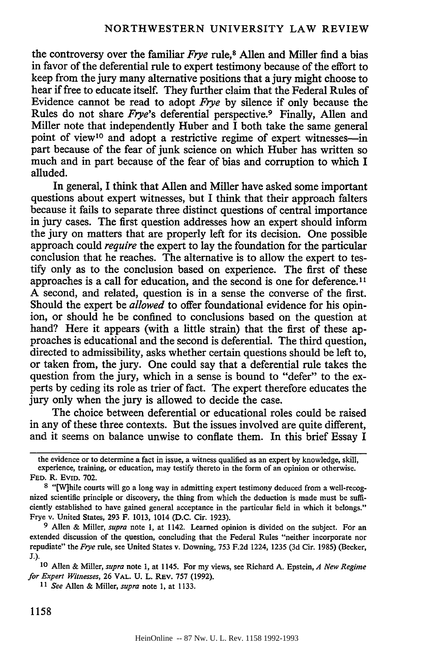the controversy over the familiar *Frye* rule,8 Allen and Miller find a bias in favor of the deferential rule to expert testimony because of the effort to keep from the jury many alternative positions that a jury might choose to hear if free to educate itself. They further claim that the Federal Rules of Evidence cannot be read to adopt *Frye* by silence if only because the Rules do not share *Frye's* deferential perspective.<sup>9</sup> Finally, Allen and Miller note that independently Huber and  $\overline{I}$  both take the same general point of view<sup>10</sup> and adopt a restrictive regime of expert witnesses-in part because of the fear of junk science on which Huber has written so much and in part because of the fear of bias and corruption to which I alluded.

In general, I think that Allen and Miller have asked some important questions about expert witnesses, but I think that their approach falters because it fails to separate three distinct questions of central importance in jury cases. The first question addresses how an expert should inform the jury on matters that are properly left for its decision. One possible approach could *require* the expert to lay the foundation for the particular conclusion that he reaches. The alternative is to allow the expert to testify only as to the conclusion based on experience. The first of these approaches is a call for education, and the second is one for deference.II A second, and related, question is in a sense the converse of the first. Should the expert be *allowed* to offer foundational evidence for his opinion, or should he be confined to conclusions based on the question at hand? Here it appears (with a little strain) that the first of these approaches is educational and the second is deferential. The third question, directed to admissibility, asks whether certain questions should be left to, or taken from, the jury. One could say that a deferential rule takes the question from the jury, which in a sense is bound to "defer" to the experts by ceding its role as trier of fact. The expert therefore educates the jury only when the jury is allowed to decide the case.

The choice between deferential or educational roles could be raised in any of these three contexts. But the issues involved are quite different, and it seems on balance unwise to conflate them. In this brief Essay I

the evidence or to determine a fact in issue, a witness qualified as an expert by knowledge, skill, experience, training, or education, may testify thereto in the form of an opinion or otherwise. FED. R. **EVID.** 702.

9 Allen & Miller, *supra* note **1,** at 1142. Learned opinion is divided on the subject. For an extended discussion of the question, concluding that the Federal Rules "neither incorporate nor repudiate" the *Frye* rule, see United States v. Downing, 753 F.2d 1224, 1235 (3d Cir. 1985) (Becker, J.).

**<sup>10</sup>**Allen & Miller, *supra* note **1,** at 1145. For my views, see Richard **A.** Epstein, *A New Regime for Expert Witnesses,* 26 VAL. U. L. REV. 757 (1992).

<sup>8 &</sup>quot;[W]hile courts will go a long way in admitting expert testimony deduced from a well-recognized scientific principle or discovery, the thing from which the deduction is made must be sufficiently established to have gained general acceptance in the particular field in which it belongs." Frye v. United States, 293 F. 1013, 1014 (D.C. Cir. 1923).

<sup>11</sup>*See* Allen & Miller, *supra* note 1, at **1133.**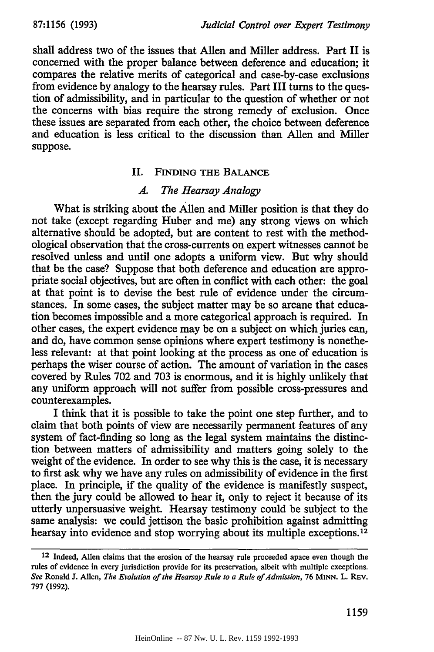shall address two of the issues that Allen and Miller address. Part II is concerned with the proper balance between deference and education; it compares the relative merits of categorical and case-by-case exclusions from evidence by analogy to the hearsay rules. Part III turns to the question of admissibility, and in particular to the question of whether or not the concerns with bias require the strong remedy of exclusion. Once these issues are separated from each other, the choice between deference and education is less critical to the discussion than Allen and Miller suppose.

# **II. FINDING THE BALANCE**

# *A. The Hearsay Analogy*

What is striking about the Allen and Miller position is that they do not take (except regarding Huber and me) any strong views on which alternative should be adopted, but are content to rest with the methodological observation that the cross-currents on expert witnesses cannot be resolved unless and until one adopts a uniform view. But why should that be the case? Suppose that both deference and education are appropiiate social objectives, but are often in conflict with each other: the goal at that point is to devise the best rule of evidence under the circumstances. In some cases, the subject matter may be so arcane that education becomes impossible and a more categorical approach is required. In other cases, the expert evidence may be on a subject on which juries can, and do, have common sense opinions where expert testimony is nonetheless relevant: at that point looking at the process as one of education is perhaps the wiser course of action. The amount of variation in the cases covered by Rules 702 and 703 is enormous, and it is highly unlikely that any uniform approach will not suffer from possible cross-pressures and counterexamples.

I think that it is possible to take the point one step further, and to claim that both points of view are necessarily permanent features of any system of fact-finding so long as the legal system maintains the distinction between matters of admissibility and matters going solely to the weight of the evidence. In order to see why this is the case, it is necessary to first ask why we have any rules on admissibility of evidence in the first place. In principle, if the quality of the evidence is manifestly suspect, then the jury could be allowed to hear it, only to reject it because of its utterly unpersuasive weight. Hearsay testimony could be subject to the same analysis: we could jettison the basic prohibition against admitting hearsay into evidence and stop worrying about its multiple exceptions.<sup>12</sup>

**<sup>12</sup> Indeed, Allen** claims that **the** erosion of **the** hearsay rule proceeded apace **even though** the rules of evidence in every jurisdiction provide for its preservation, albeit with multiple exceptions. *See* Ronald **J.** Allen, *The Evolution of the Hearsay Rule to a Rule of Admission,* **76 MINN.** L. **REv. 797 (1992).**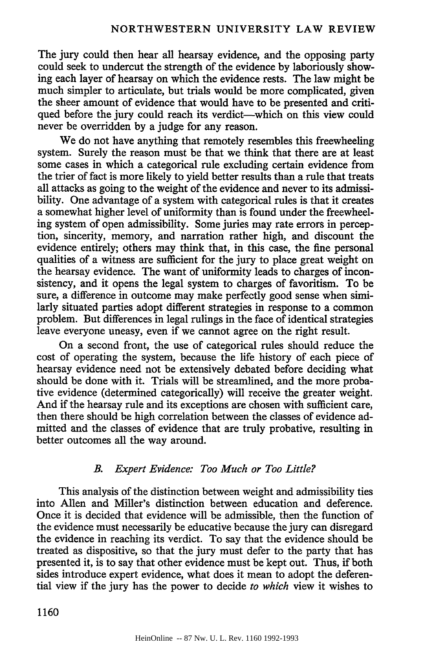The jury could then hear all hearsay evidence, and the opposing party could seek to undercut the strength of the evidence by laboriously showing each layer of hearsay on which the evidence rests. The law might be much simpler to articulate, but trials would be more complicated, given the sheer amount of evidence that would have to be presented and critiqued before the jury could reach its verdict—which on this view could never be overridden by a judge for any reason.

We do not have anything that remotely resembles this freewheeling system. Surely the reason must be that we think that there are at least some cases in which a categorical rule excluding certain evidence from the trier of fact is more likely to yield better results than a rule that treats all attacks as going to the weight of the evidence and never to its admissibility. One advantage of a system with categorical rules is that it creates a somewhat higher level of uniformity than is found under the freewheeling system of open admissibility. Some juries may rate errors in perception, sincerity, memory, and narration rather high, and discount the evidence entirely; others may think that, in this case, the fine personal qualities of a witness are sufficient for the jury to place great weight on the hearsay evidence. The want of uniformity leads to charges of inconsistency, and it opens the legal system to charges of favoritism. To be sure, a difference in outcome may make perfectly good sense when similarly situated parties adopt different strategies in response to a common problem. But differences in legal rulings in the face of identical strategies leave everyone uneasy, even if we cannot agree on the right result.

On a second front, the use of categorical rules should reduce the cost of operating the system, because the life history of each piece of hearsay evidence need not be extensively debated before deciding what should be done with it. Trials will be streamlined, and the more probative evidence (determined categorically) will receive the greater weight. And if the hearsay rule and its exceptions are chosen with sufficient care, then there should be high correlation between the classes of evidence admitted and the classes of evidence that are truly probative, resulting in better outcomes all the way around.

# *B. Expert Evidence: Too Much or Too Little?*

This analysis of the distinction between weight and admissibility ties into Allen and Miller's distinction between education and deference. Once it is decided that evidence will be admissible, then the function of the evidence must necessarily be educative because the jury can disregard the evidence in reaching its verdict. To say that the evidence should be treated as dispositive, so that the jury must defer to the party that has presented it, is to say that other evidence must be kept out. Thus, if both sides introduce expert evidence, what does it mean to adopt the deferential view if the jury has the power to decide *to which* view it wishes to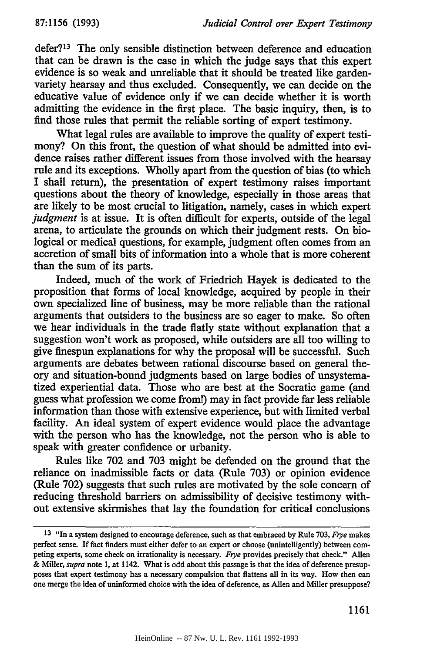defer?13 The only sensible distinction between deference and education that can be drawn is the case in which the judge says that this expert evidence is so weak and unreliable that it should be treated like gardenvariety hearsay and thus excluded. Consequently, we can decide on the educative value of evidence only if we can decide whether it is worth admitting the evidence in the first place. The basic inquiry, then, is to find those rules that permit the reliable sorting of expert testimony.

What legal rules are available to improve the quality of expert testimony? On this front, the question of what should be admitted into evidence raises rather different issues from those involved with the hearsay rule and its exceptions. Wholly apart from the question of bias (to which I shall return), the presentation of expert testimony raises important questions about the theory of knowledge, especially in those areas that are likely to be most crucial to litigation, namely, cases in which expert *judgment* is at issue. It is often difficult for experts, outside of the legal arena, to articulate the grounds on which their judgment rests. On biological or medical questions, for example, judgment often comes from an accretion of small bits of information into a whole that is more coherent than the sum of its parts.

Indeed, much of the work of Friedrich Hayek is dedicated to the proposition that forms of local knowledge, acquired by people in their own specialized line of business, may be more reliable than the rational arguments that outsiders to the business are so eager to make. So often we hear individuals in the trade flatly state without explanation that a suggestion won't work as proposed, while outsiders are all too willing to give finespun explanations for why the proposal will be successful. Such arguments are debates between rational discourse based on general theory and situation-bound judgments based on large bodies of unsystematized experiential data. Those who are best at the Socratic game (and guess what profession we come from!) may in fact provide far less reliable information than those with extensive experience, but with limited verbal facility. An ideal system of expert evidence would place the advantage with the person who has the knowledge, not the person who is able to speak with greater confidence or urbanity.

Rules like 702 and 703 might be defended on the ground that the reliance on inadmissible facts or data (Rule 703) or opinion evidence (Rule 702) suggests that such rules are motivated by the sole concern of reducing threshold barriers on admissibility of decisive testimony without extensive skirmishes that lay the foundation for critical conclusions

**<sup>13</sup>** "In a system designed to encourage deference, such as that embraced by Rule 703, *Frye* makes perfect sense. If fact finders must either defer to an expert or choose (unintelligently) between competing experts, some check on irrationality is necessary. *Frye* provides precisely that check." Allen & Miller, *supra* note 1, at 1142. What is odd about this passage is that the idea of deference presupposes that expert testimony has a necessary compulsion that flattens all in its way. How then can one merge the idea of uninformed choice with the idea of deference, as Allen and Miller presuppose?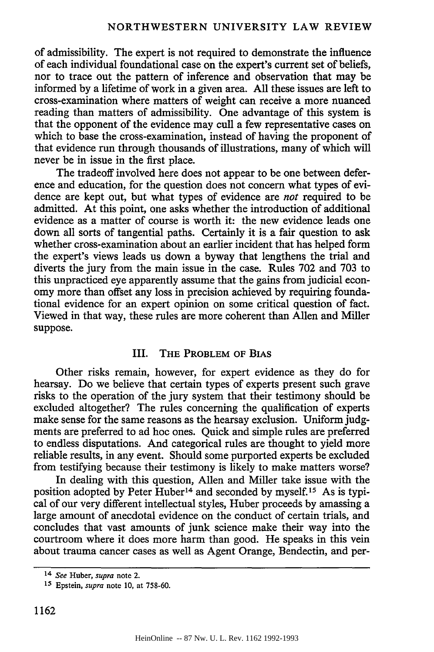of admissibility. The expert is not required to demonstrate the influence of each individual foundational case on the expert's current set of beliefs, nor to trace out the pattern of inference and observation that may be informed by a lifetime of work in a given area. All these issues are left to cross-examination where matters of weight can receive a more nuanced reading than matters of admissibility. One advantage of this system is that the opponent of the evidence may cull a few representative cases on which to base the cross-examination, instead of having the proponent of that evidence run through thousands of illustrations, many of which will never be in issue in the first place.

The tradeoff involved here does not appear to be one between deference and education, for the question does not concern what types of evidence are kept out, but what types of evidence are *not* required to be admitted. At this point, one asks whether the introduction of additional evidence as a matter of course is worth it: the new evidence leads one down all sorts of tangential paths. Certainly it is a fair question to ask whether cross-examination about an earlier incident that has helped form the expert's views leads us down a byway that lengthens the trial and diverts the jury from the main issue in the case. Rules 702 and 703 to this unpracticed eye apparently assume that the gains from judicial economy more than offset any loss in precision achieved by requiring foundational evidence for an expert opinion on some critical question of fact. Viewed in that way, these rules are more coherent than Allen and Miller suppose.

## III. THE PROBLEM **OF BIAS**

Other risks remain, however, for expert evidence as they do for hearsay. Do we believe that certain types of experts present such grave risks to the operation of the jury system that their testimony should be excluded altogether? The rules concerning the qualification of experts make sense for the same reasons as the hearsay exclusion. Uniform judgments are preferred to ad hoc ones. Quick and simple rules are preferred to endless disputations. And categorical rules are thought to yield more reliable results, in any event. Should some purported experts be excluded from testifying because their testimony is likely to make matters worse?

In dealing with this question, Allen and Miller take issue with the position adopted by Peter  $\text{Huber}^{14}$  and seconded by myself.<sup>15</sup> As is typical of our very different intellectual styles, Huber proceeds by amassing a large amount of anecdotal evidence on the conduct of certain trials, and concludes that vast amounts of junk science make their way into the courtroom where it does more harm than good. He speaks in this vein about trauma cancer cases as well as Agent Orange, Bendectin, and per-

<sup>14</sup> *See* Huber, *supra* note 2.

**<sup>15</sup>** Epstein, *supra* note 10, at 758-60.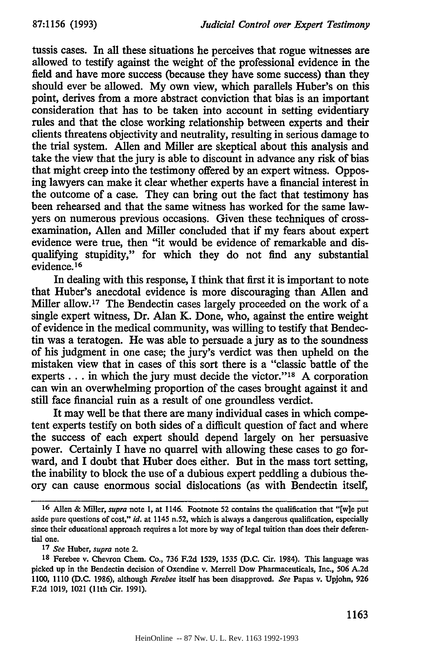tussis cases. In all these situations he perceives that rogue witnesses are allowed to testify against the weight of the professional evidence in the field and have more success (because they have some **success)** than they should ever be allowed. **My** own view, which parallels Huber's on this point, derives from a more abstract conviction that bias is an important consideration that has to be taken into account in setting evidentiary rules and that the close working relationship between experts and their clients threatens objectivity and neutrality, resulting in serious damage to the trial system. Allen and Miller are skeptical about this analysis and take the view that the jury is able to discount in advance any risk of bias that might creep into the testimony offered **by** an expert witness. Opposing lawyers can make it clear whether experts have a financial interest in the outcome of a case. They can bring out the fact that testimony has been rehearsed and that the same witness has worked for the same lawyers on numerous previous occasions. Given these techniques of crossexamination, Allen and Miller concluded that if my fears about expert evidence were true, then "it would be evidence of remarkable and disqualifying stupidity," for which they do not find any substantial evidence. **<sup>16</sup>**

In dealing with this response, I think that first it is important to note that Huber's anecdotal evidence is more discouraging than Allen and Miller allow. **17** The Bendectin cases largely proceeded on the work of a single expert witness, Dr. Alan K. Done, who, against the entire weight of evidence in the medical community, was willing to testify that Bendectin was a teratogen. He was able to persuade a jury as to the soundness of his judgment in one case; the jury's verdict was then upheld on the mistaken view that in cases of this sort there is a "classic battle of the experts... in which the jury must decide the victor."<sup>18</sup> A corporation can win an overwhelming proportion of the cases brought against it and still face financial ruin as a result of one groundless verdict.

It may well be that there are many individual cases in which competent experts testify on both sides of a difficult question of fact and where the success of each expert should depend largely on her persuasive power. Certainly I have no quarrel with allowing these cases to go forward, and I doubt that Huber does either. But in the mass tort setting, the inability to block the use of a dubious expert peddling a dubious theory can cause enormous social dislocations (as with Bendectin itself,

**<sup>16</sup>** Allen & Miller, *supra* note **1,** at 1146. Footnote **52** contains the qualification that **"[w]e** put aside pure questions of cost," *id.* at 1145 n.52, which is always a dangerous qualification, especially since their educational approach requires a lot more **by** way of legal tuition than does their deferential one.

**<sup>17</sup>** *See* Huber, *supra* note 2.

**<sup>18</sup>** Ferebee v. Chevron Chem. Co., **736 F.2d 1529, 1535 (D.C.** Cir. 1984). This language was picked up in the Bendectin decision of Oxendine v. Merrell Dow Pharmaceuticals, Inc., **506 A.2d 1100, 1110 (D.C. 1986),** although *Ferebee* itself has been disapproved. *See* Papas v. Upjohn, **926 F.2d 1019,** 1021 (11th Cir. **1991).**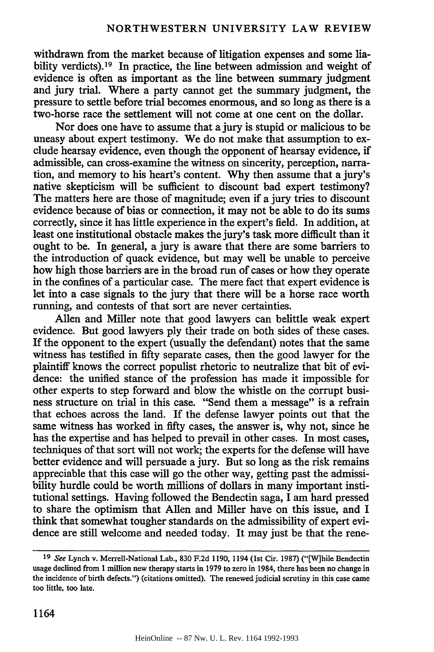withdrawn from the market because of litigation expenses and some liability verdicts).<sup>19</sup> In practice, the line between admission and weight of evidence is often as important as the line between summary judgment and jury trial. Where a party cannot get the summary judgment, the pressure to settle before trial becomes enormous, and so long as there is a two-horse race the settlement will not come at one cent on the dollar.

Nor does one have to assume that a jury is stupid or malicious to be uneasy about expert testimony. We do not make that assumption to exclude hearsay evidence, even though the opponent of hearsay evidence, if admissible, can cross-examine the witness on sincerity, perception, narration, and memory to his heart's content. Why then assume that a jury's native skepticism will be sufficient to discount bad expert testimony? The matters here are those of magnitude; even if a jury tries to discount evidence because of bias or connection, it may not be able to do its sums correctly, since it has little experience in the expert's field. In addition, at least one institutional obstacle makes the jury's task more difficult than it ought to be. In general, a jury is aware that there are some barriers to the introduction of quack evidence, but may well be unable to perceive how high those barriers are in the broad run of cases or how they operate in the confines of a particular case. The mere fact that expert evidence is let into a case signals to the jury that there will be a horse race worth running, and contests of that sort are never certainties.

Allen and Miller note that good lawyers can belittle weak expert evidence. But good lawyers ply their trade on both sides of these cases. If the opponent to the expert (usually the defendant) notes that the same witness has testified in fifty separate cases, then the good lawyer for the plaintiff knows the correct populist rhetoric to neutralize that bit of evidence: the unified stance of the profession has made it impossible for other experts to step forward and blow the whistle on the corrupt business structure on trial in this case. "Send them a message" is a refrain that echoes across the land. If the defense lawyer points out that the same witness has worked in fifty cases, the answer is, why not, since he has the expertise and has helped to prevail in other cases. In most cases, techniques of that sort will not work; the experts for the defense will have better evidence and will persuade a jury. But so long as the risk remains appreciable that this case will go the other way, getting past the admissibility hurdle could be worth millions of dollars in many important institutional settings. Having followed the Bendectin saga, I am hard pressed to share the optimism that Allen and Miller have on this issue, and I think that somewhat tougher standards on the admissibility of expert evidence are still welcome and needed today. It may just be that the rene-

**<sup>19</sup> See Lynch v.** Merrell-National **Lab., 830 F.2d 1190,** 1194 **(lst Cir. 1987)** ("[W]hile Bendectin usage declined from **1** million new therapy starts in **1979** to zero in 1984, there has been no change in the incidence of birth defects.") (citations omitted). The renewed judicial scrutiny in this case came too little, too late.